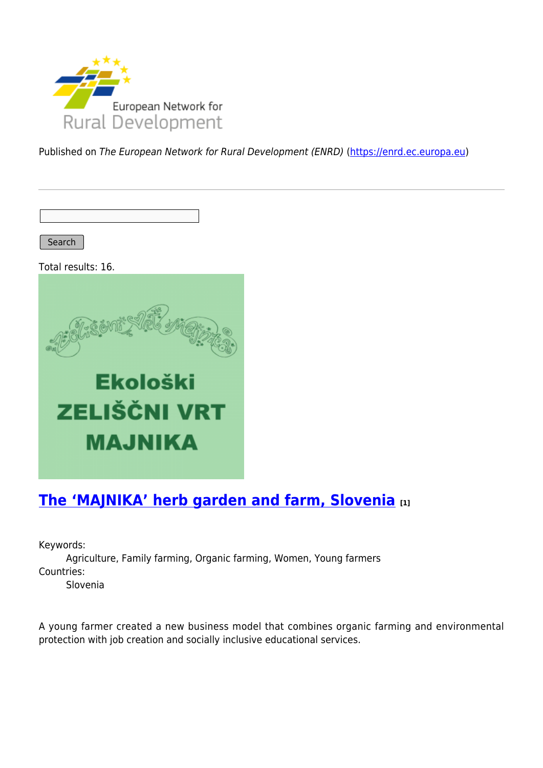

Published on The European Network for Rural Development (ENRD) [\(https://enrd.ec.europa.eu](https://enrd.ec.europa.eu))

Search

Total results: 16.



# **[The 'MAJNIKA' herb garden and farm, Slovenia](https://enrd.ec.europa.eu/projects-practice/majnika-herb-garden-and-farm-slovenia_en) [1]**

Keywords:

Agriculture, Family farming, Organic farming, Women, Young farmers Countries:

Slovenia

A young farmer created a new business model that combines organic farming and environmental protection with job creation and socially inclusive educational services.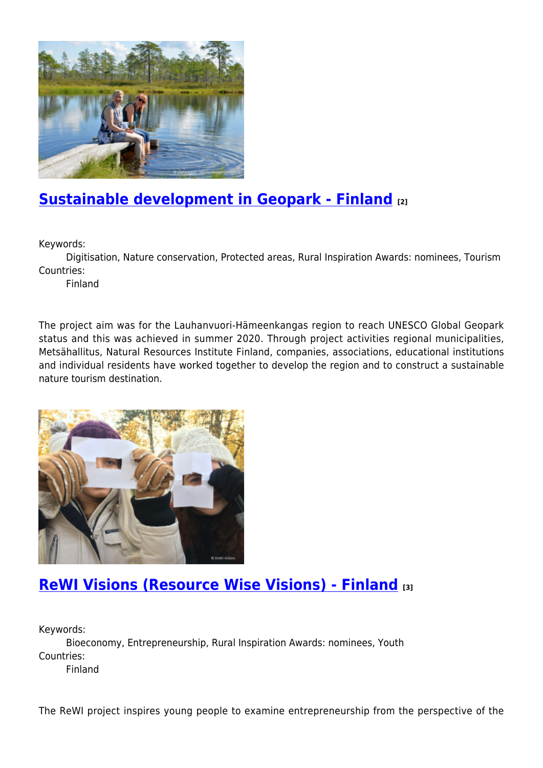

# **[Sustainable development in Geopark - Finland](https://enrd.ec.europa.eu/projects-practice/sustainable-development-geopark-finland_en) [2]**

Keywords:

Digitisation, Nature conservation, Protected areas, Rural Inspiration Awards: nominees, Tourism Countries:

Finland

The project aim was for the Lauhanvuori-Hämeenkangas region to reach UNESCO Global Geopark status and this was achieved in summer 2020. Through project activities regional municipalities, Metsähallitus, Natural Resources Institute Finland, companies, associations, educational institutions and individual residents have worked together to develop the region and to construct a sustainable nature tourism destination.



# **[ReWI Visions \(Resource Wise Visions\) - Finland](https://enrd.ec.europa.eu/projects-practice/rewi-visions-resource-wise-visions-finland_en) [3]**

Keywords: Bioeconomy, Entrepreneurship, Rural Inspiration Awards: nominees, Youth Countries: Finland

The ReWI project inspires young people to examine entrepreneurship from the perspective of the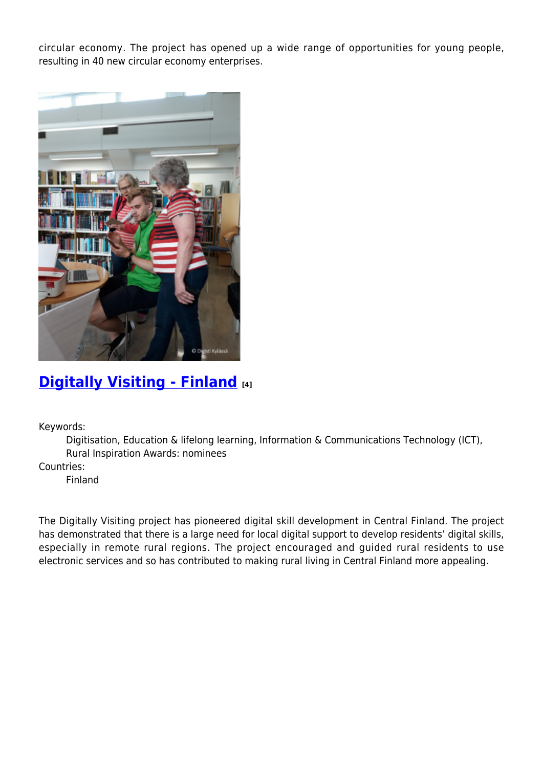circular economy. The project has opened up a wide range of opportunities for young people, resulting in 40 new circular economy enterprises.



## **[Digitally Visiting - Finland](https://enrd.ec.europa.eu/projects-practice/digitally-visiting-finland_en) [4]**

Keywords:

Digitisation, Education & lifelong learning, Information & Communications Technology (ICT), Rural Inspiration Awards: nominees

Countries:

Finland

The Digitally Visiting project has pioneered digital skill development in Central Finland. The project has demonstrated that there is a large need for local digital support to develop residents' digital skills, especially in remote rural regions. The project encouraged and guided rural residents to use electronic services and so has contributed to making rural living in Central Finland more appealing.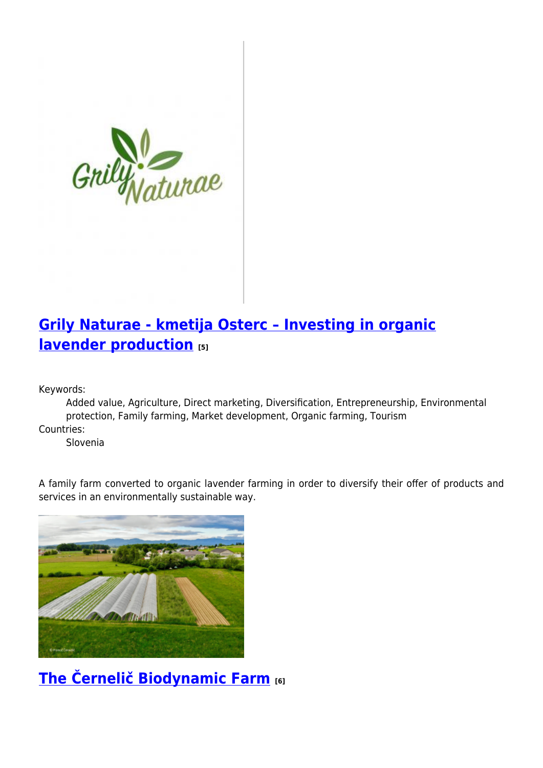

# **[Grily Naturae - kmetija Osterc – Investing in organic](https://enrd.ec.europa.eu/projects-practice/grily-naturae-kmetija-osterc-investing-organic-lavender-production_en) [lavender production](https://enrd.ec.europa.eu/projects-practice/grily-naturae-kmetija-osterc-investing-organic-lavender-production_en) [5]**

Keywords:

Added value, Agriculture, Direct marketing, Diversification, Entrepreneurship, Environmental protection, Family farming, Market development, Organic farming, Tourism

Countries:

Slovenia

A family farm converted to organic lavender farming in order to diversify their offer of products and services in an environmentally sustainable way.



**[The Černelič Biodynamic Farm](https://enrd.ec.europa.eu/projects-practice/cernelic-biodynamic-farm-0_en) [6]**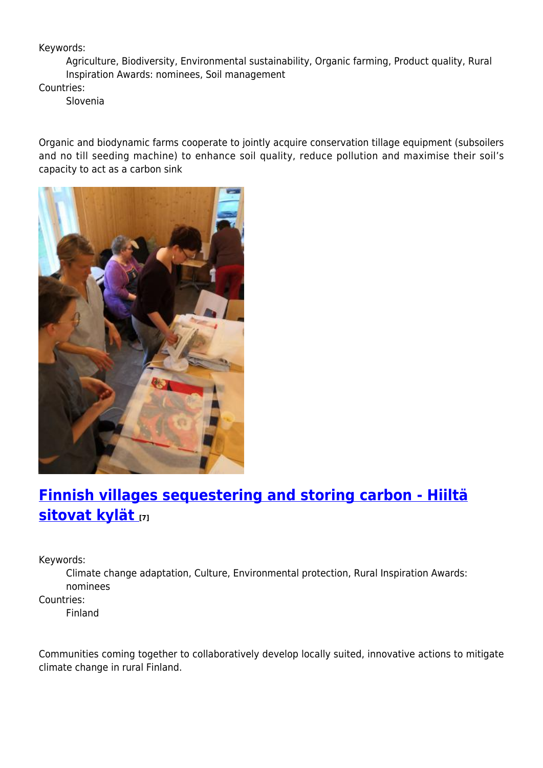### Keywords:

Agriculture, Biodiversity, Environmental sustainability, Organic farming, Product quality, Rural Inspiration Awards: nominees, Soil management

Countries:

Slovenia

Organic and biodynamic farms cooperate to jointly acquire conservation tillage equipment (subsoilers and no till seeding machine) to enhance soil quality, reduce pollution and maximise their soil's capacity to act as a carbon sink



# **[Finnish villages sequestering and storing carbon - Hiiltä](https://enrd.ec.europa.eu/projects-practice/finnish-villages-sequestering-and-storing-carbon-hiilta-sitovat-kylat_en) [sitovat kylät](https://enrd.ec.europa.eu/projects-practice/finnish-villages-sequestering-and-storing-carbon-hiilta-sitovat-kylat_en) [7]**

Keywords:

Climate change adaptation, Culture, Environmental protection, Rural Inspiration Awards: nominees

Countries:

Finland

Communities coming together to collaboratively develop locally suited, innovative actions to mitigate climate change in rural Finland.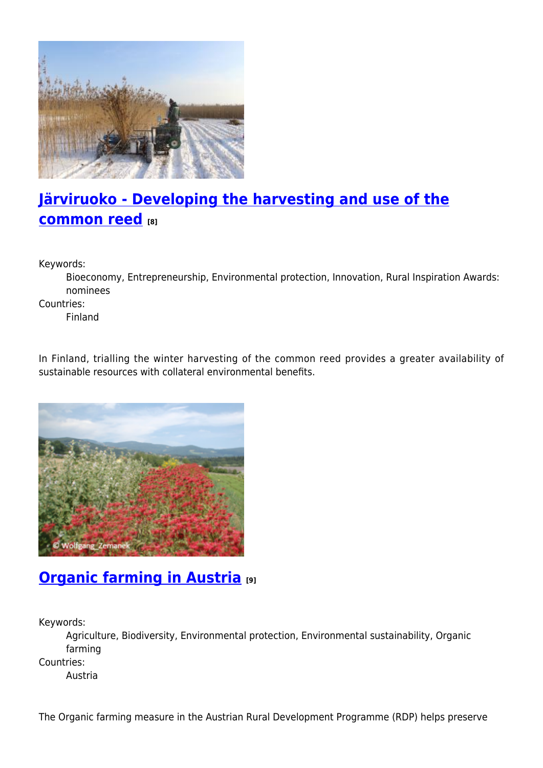

# **[Järviruoko - Developing the harvesting and use of the](https://enrd.ec.europa.eu/projects-practice/jarviruoko-developing-harvesting-and-use-common-reed_en) [common reed](https://enrd.ec.europa.eu/projects-practice/jarviruoko-developing-harvesting-and-use-common-reed_en) [8]**

Keywords:

Bioeconomy, Entrepreneurship, Environmental protection, Innovation, Rural Inspiration Awards: nominees

Countries:

Finland

In Finland, trialling the winter harvesting of the common reed provides a greater availability of sustainable resources with collateral environmental benefits.



# **[Organic farming in Austria](https://enrd.ec.europa.eu/projects-practice/organic-farming-austria_en) [9]**

Keywords:

Agriculture, Biodiversity, Environmental protection, Environmental sustainability, Organic farming

Countries:

Austria

The Organic farming measure in the Austrian Rural Development Programme (RDP) helps preserve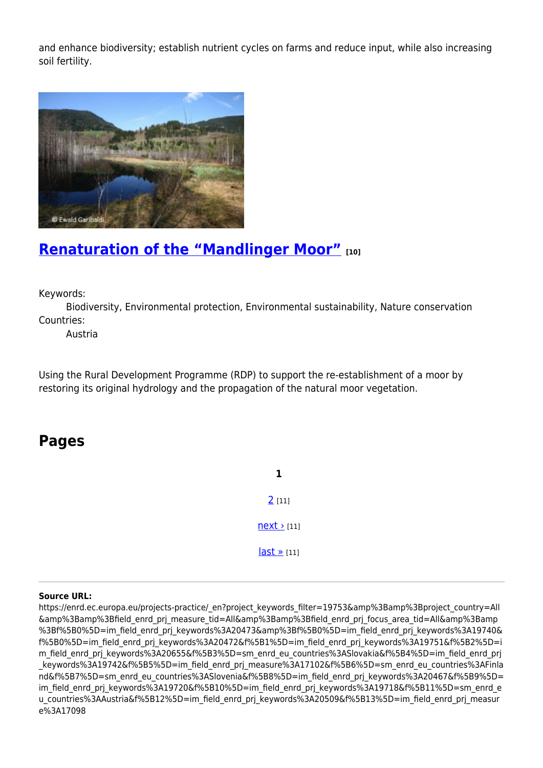and enhance biodiversity; establish nutrient cycles on farms and reduce input, while also increasing soil fertility.



### **[Renaturation of the "Mandlinger Moor"](https://enrd.ec.europa.eu/projects-practice/renaturation-mandlinger-moor_en) [10]**

Keywords:

Biodiversity, Environmental protection, Environmental sustainability, Nature conservation Countries:

Austria

Using the Rural Development Programme (RDP) to support the re-establishment of a moor by restoring its original hydrology and the propagation of the natural moor vegetation.

### **Pages**

**1**  $2$  [11]  $next$  [11]  $last \times [11]$ 

#### **Source URL:**

https://enrd.ec.europa.eu/projects-practice/\_en?project\_keywords\_filter=19753&amp%3Bamp%3Bproject\_country=All &amp%3Bamp%3Bfield\_enrd\_prj\_measure\_tid=All&amp%3Bamp%3Bfield\_enrd\_prj\_focus\_area\_tid=All&amp%3Bamp %3Bf%5B0%5D=im\_field\_enrd\_prj\_keywords%3A20473&amp%3Bf%5B0%5D=im\_field\_enrd\_prj\_keywords%3A19740& f%5B0%5D=im\_field\_enrd\_prj\_keywords%3A20472&f%5B1%5D=im\_field\_enrd\_prj\_keywords%3A19751&f%5B2%5D=i m\_field\_enrd\_prj\_keywords%3A20655&f%5B3%5D=sm\_enrd\_eu\_countries%3ASlovakia&f%5B4%5D=im\_field\_enrd\_prj keywords%3A19742&f%5B5%5D=im\_field\_enrd\_prj\_measure%3A17102&f%5B6%5D=sm\_enrd\_eu\_countries%3AFinla nd&f%5B7%5D=sm\_enrd\_eu\_countries%3ASlovenia&f%5B8%5D=im\_field\_enrd\_prj\_keywords%3A20467&f%5B9%5D= im\_field\_enrd\_prj\_keywords%3A19720&f%5B10%5D=im\_field\_enrd\_prj\_keywords%3A19718&f%5B11%5D=sm\_enrd\_e u countries%3AAustria&f%5B12%5D=im\_field\_enrd\_prj\_keywords%3A20509&f%5B13%5D=im\_field\_enrd\_prj\_measur e%3A17098